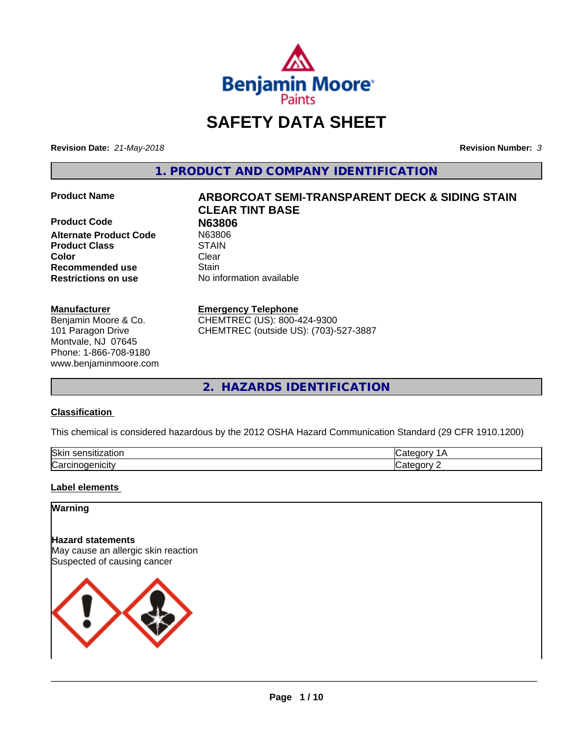

# **SAFETY DATA SHEET**

**Revision Date:** *21-May-2018* **Revision Number:** *3*

**1. PRODUCT AND COMPANY IDENTIFICATION**

**Product Code 198806<br>
Alternate Product Code 198806 Alternate Product Code** N6380<br> **Product Class** STAIN **Product Class Color** Clear Clear **Recommended use Stain Restrictions on use** No information available

#### **Manufacturer**

Benjamin Moore & Co. 101 Paragon Drive Montvale, NJ 07645 Phone: 1-866-708-9180 www.benjaminmoore.com

# **Product Name ARBORCOAT SEMI-TRANSPARENT DECK & SIDING STAIN CLEAR TINT BASE**

#### **Emergency Telephone**

CHEMTREC (US): 800-424-9300 CHEMTREC (outside US): (703)-527-3887

**2. HAZARDS IDENTIFICATION**

#### **Classification**

This chemical is considered hazardous by the 2012 OSHA Hazard Communication Standard (29 CFR 1910.1200)

| <b>Ski</b><br>uor<br>- 11 |  |
|---------------------------|--|
| ∽<br>. . аг               |  |

#### **Label elements**

## **Warning**

**Hazard statements** May cause an allergic skin reaction Suspected of causing cancer

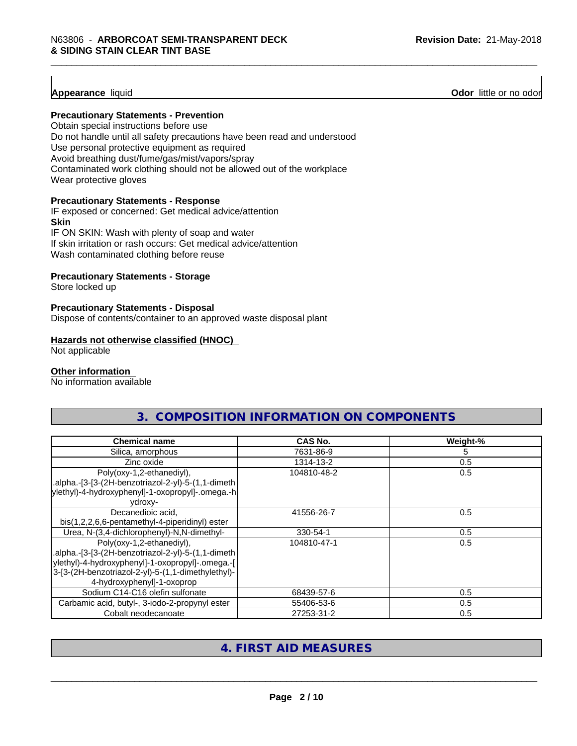**Appearance** liquid **Odor 11 Construction Odor 11 Construction Odor 11 Construction Odor I Construction Odor I Construction Odor I Construction Odor I Construction Odor I Constructio** 

#### **Precautionary Statements - Prevention**

Obtain special instructions before use Do not handle until all safety precautions have been read and understood Use personal protective equipment as required Avoid breathing dust/fume/gas/mist/vapors/spray Contaminated work clothing should not be allowed out of the workplace Wear protective gloves

#### **Precautionary Statements - Response**

IF exposed or concerned: Get medical advice/attention **Skin** IF ON SKIN: Wash with plenty of soap and water

If skin irritation or rash occurs: Get medical advice/attention

Wash contaminated clothing before reuse

#### **Precautionary Statements - Storage**

Store locked up

#### **Precautionary Statements - Disposal**

Dispose of contents/container to an approved waste disposal plant

#### **Hazards not otherwise classified (HNOC)**

Not applicable

#### **Other information**

No information available

| <b>Chemical name</b>                                                                                                                                                                                                    | <b>CAS No.</b> | Weight-% |
|-------------------------------------------------------------------------------------------------------------------------------------------------------------------------------------------------------------------------|----------------|----------|
| Silica, amorphous                                                                                                                                                                                                       | 7631-86-9      | 5        |
| Zinc oxide                                                                                                                                                                                                              | 1314-13-2      | 0.5      |
| Poly(oxy-1,2-ethanediyl),<br>.alpha.-[3-[3-(2H-benzotriazol-2-yl)-5-(1,1-dimeth<br>ylethyl)-4-hydroxyphenyl]-1-oxopropyl]-.omega.-h<br>vdroxy-                                                                          | 104810-48-2    | 0.5      |
| Decanedioic acid,<br>bis(1,2,2,6,6-pentamethyl-4-piperidinyl) ester                                                                                                                                                     | 41556-26-7     | 0.5      |
| Urea, N-(3,4-dichlorophenyl)-N,N-dimethyl-                                                                                                                                                                              | 330-54-1       | 0.5      |
| Poly(oxy-1,2-ethanediyl),<br>.alpha.-[3-[3-(2H-benzotriazol-2-yl)-5-(1,1-dimeth<br>ylethyl)-4-hydroxyphenyl]-1-oxopropyl]-.omega.-[<br>3-[3-(2H-benzotriazol-2-yl)-5-(1,1-dimethylethyl)-<br>4-hydroxyphenyl]-1-oxoprop | 104810-47-1    | 0.5      |
| Sodium C14-C16 olefin sulfonate                                                                                                                                                                                         | 68439-57-6     | 0.5      |
| Carbamic acid, butyl-, 3-iodo-2-propynyl ester                                                                                                                                                                          | 55406-53-6     | 0.5      |
| Cobalt neodecanoate                                                                                                                                                                                                     | 27253-31-2     | 0.5      |

**3. COMPOSITION INFORMATION ON COMPONENTS**

# **4. FIRST AID MEASURES**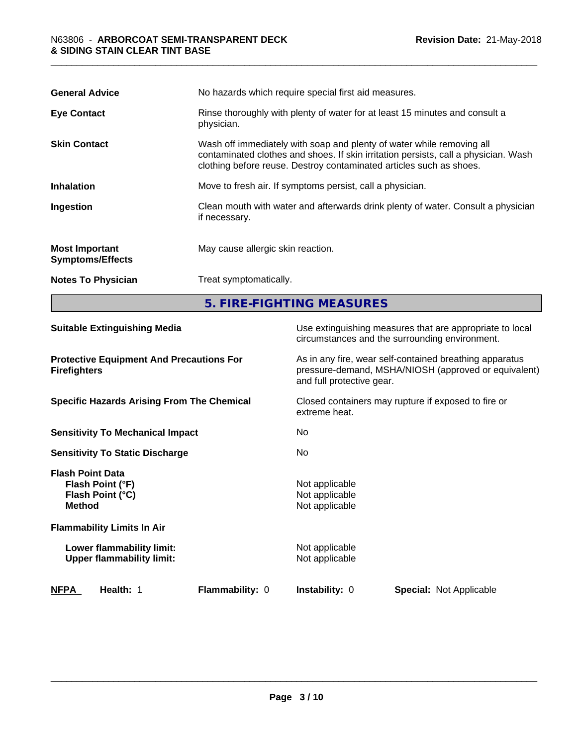| <b>General Advice</b>                            | No hazards which require special first aid measures.                                                                                                                                                                                |  |
|--------------------------------------------------|-------------------------------------------------------------------------------------------------------------------------------------------------------------------------------------------------------------------------------------|--|
| <b>Eye Contact</b>                               | Rinse thoroughly with plenty of water for at least 15 minutes and consult a<br>physician.                                                                                                                                           |  |
| <b>Skin Contact</b>                              | Wash off immediately with soap and plenty of water while removing all<br>contaminated clothes and shoes. If skin irritation persists, call a physician. Wash<br>clothing before reuse. Destroy contaminated articles such as shoes. |  |
| <b>Inhalation</b>                                | Move to fresh air. If symptoms persist, call a physician.                                                                                                                                                                           |  |
| Ingestion                                        | Clean mouth with water and afterwards drink plenty of water. Consult a physician<br>if necessary.                                                                                                                                   |  |
| <b>Most Important</b><br><b>Symptoms/Effects</b> | May cause allergic skin reaction.                                                                                                                                                                                                   |  |
| <b>Notes To Physician</b>                        | Treat symptomatically.                                                                                                                                                                                                              |  |
|                                                  | 5. FIRE-FIGHTING MEASURES                                                                                                                                                                                                           |  |

| <b>Suitable Extinguishing Media</b>                                              | Use extinguishing measures that are appropriate to local<br>circumstances and the surrounding environment.                                   |
|----------------------------------------------------------------------------------|----------------------------------------------------------------------------------------------------------------------------------------------|
| <b>Protective Equipment And Precautions For</b><br><b>Firefighters</b>           | As in any fire, wear self-contained breathing apparatus<br>pressure-demand, MSHA/NIOSH (approved or equivalent)<br>and full protective gear. |
| <b>Specific Hazards Arising From The Chemical</b>                                | Closed containers may rupture if exposed to fire or<br>extreme heat.                                                                         |
| <b>Sensitivity To Mechanical Impact</b>                                          | No.                                                                                                                                          |
| <b>Sensitivity To Static Discharge</b>                                           | No.                                                                                                                                          |
| <b>Flash Point Data</b><br>Flash Point (°F)<br>Flash Point (°C)<br><b>Method</b> | Not applicable<br>Not applicable<br>Not applicable                                                                                           |
| <b>Flammability Limits In Air</b>                                                |                                                                                                                                              |
| Lower flammability limit:<br><b>Upper flammability limit:</b>                    | Not applicable<br>Not applicable                                                                                                             |
| <b>NFPA</b><br>Health: 1<br><b>Flammability: 0</b>                               | <b>Instability: 0</b><br><b>Special: Not Applicable</b>                                                                                      |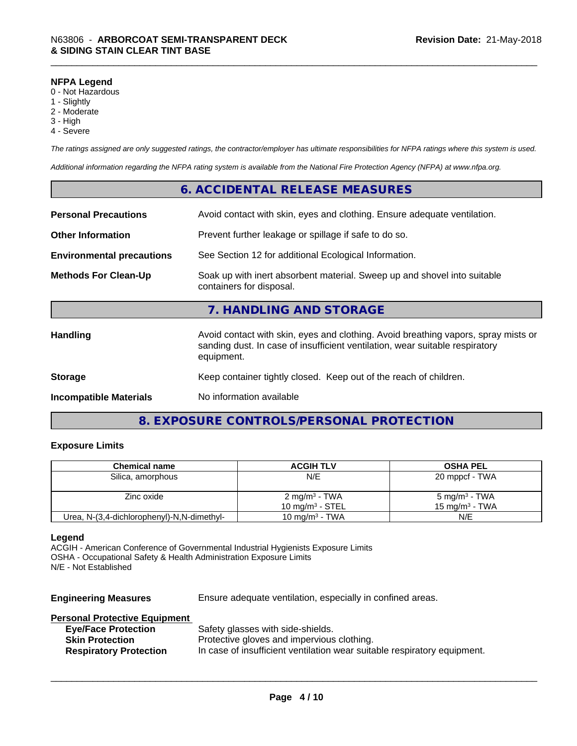#### **NFPA Legend**

- 0 Not Hazardous
- 1 Slightly
- 2 Moderate
- 3 High
- 4 Severe

*The ratings assigned are only suggested ratings, the contractor/employer has ultimate responsibilities for NFPA ratings where this system is used.*

*Additional information regarding the NFPA rating system is available from the National Fire Protection Agency (NFPA) at www.nfpa.org.*

## **6. ACCIDENTAL RELEASE MEASURES**

| <b>Personal Precautions</b>      | Avoid contact with skin, eyes and clothing. Ensure adequate ventilation.                                                                                                         |
|----------------------------------|----------------------------------------------------------------------------------------------------------------------------------------------------------------------------------|
| <b>Other Information</b>         | Prevent further leakage or spillage if safe to do so.                                                                                                                            |
| <b>Environmental precautions</b> | See Section 12 for additional Ecological Information.                                                                                                                            |
| <b>Methods For Clean-Up</b>      | Soak up with inert absorbent material. Sweep up and shovel into suitable<br>containers for disposal.                                                                             |
|                                  | 7. HANDLING AND STORAGE                                                                                                                                                          |
| <b>Handling</b>                  | Avoid contact with skin, eyes and clothing. Avoid breathing vapors, spray mists or<br>sanding dust. In case of insufficient ventilation, wear suitable respiratory<br>equipment. |
| <b>Storage</b>                   | Keep container tightly closed. Keep out of the reach of children.                                                                                                                |
| <b>Incompatible Materials</b>    | No information available                                                                                                                                                         |

# **8. EXPOSURE CONTROLS/PERSONAL PROTECTION**

#### **Exposure Limits**

| <b>Chemical name</b>                       | <b>ACGIH TLV</b>          | <b>OSHA PEL</b>           |
|--------------------------------------------|---------------------------|---------------------------|
| Silica, amorphous                          | N/E                       | 20 mppcf - TWA            |
|                                            |                           |                           |
| Zinc oxide                                 | 2 mg/m <sup>3</sup> - TWA | 5 mg/m <sup>3</sup> - TWA |
|                                            | 10 mg/m $3$ - STEL        | 15 mg/m $^3$ - TWA        |
| Urea, N-(3,4-dichlorophenyl)-N,N-dimethyl- | 10 mg/m $3$ - TWA         | N/E                       |

#### **Legend**

ACGIH - American Conference of Governmental Industrial Hygienists Exposure Limits OSHA - Occupational Safety & Health Administration Exposure Limits N/E - Not Established

**Engineering Measures** Ensure adequate ventilation, especially in confined areas.

## **Personal Protective Equipment**

| <b>Eye/Face Protection</b>    | Safety glasses with side-shields.                                        |
|-------------------------------|--------------------------------------------------------------------------|
| <b>Skin Protection</b>        | Protective gloves and impervious clothing.                               |
| <b>Respiratory Protection</b> | In case of insufficient ventilation wear suitable respiratory equipment. |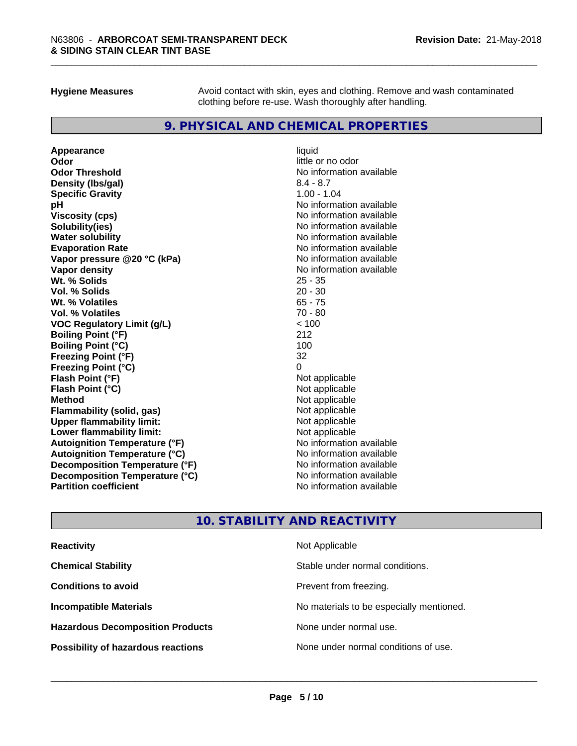**Hygiene Measures** Avoid contact with skin, eyes and clothing. Remove and wash contaminated clothing before re-use. Wash thoroughly after handling.

## **9. PHYSICAL AND CHEMICAL PROPERTIES**

**Appearance** liquid **Odor** little or no odor **Odor Threshold**<br> **Density (Ibs/aal)**<br> **Density (Ibs/aal)**<br> **No information available**<br>  $8.4 - 8.7$ **Density (lbs/gal) Specific Gravity** 1.00 - 1.04 **pH** No information available **Viscosity (cps)** No information available **Solubility(ies)** No information available **Water solubility Mater Solubility**<br> **Evaporation Rate** Mate No information available **Vapor pressure @20 °C (kPa)** No information available **Vapor density Vapor density No information available Wt. % Solids** 25 - 35 **Vol. % Solids** 20 - 30 **Wt. % Volatiles** 65 - 75 **Vol. % Volatiles** 70 - 80 **VOC Regulatory Limit (g/L)** < 100 **Boiling Point (°F) Boiling Point (°C)** 100 **Freezing Point (°F)** 32 **Freezing Point (°C)** 0 **Flash Point (°F)**<br> **Flash Point (°C)**<br> **Flash Point (°C)**<br> **C Flash Point (°C) Method** Not applicable **Flammability (solid, gas)** Not applicable Not applicable<br>
Upper flammability limit: Not applicable **Upper flammability limit:**<br> **Lower flammability limit:**<br>
Not applicable<br>
Not applicable **Lower flammability limit: Autoignition Temperature (°F)** No information available **Autoignition Temperature (°C)** No information available **Decomposition Temperature (°F)** No information available **Decomposition Temperature (°C)** No information available<br> **Partition coefficient Partition available** 

**Evaporation Rate** No information available **No information available** 

# **10. STABILITY AND REACTIVITY**

| <b>Reactivity</b>                         | Not Applicable                           |
|-------------------------------------------|------------------------------------------|
| <b>Chemical Stability</b>                 | Stable under normal conditions.          |
| <b>Conditions to avoid</b>                | Prevent from freezing.                   |
| <b>Incompatible Materials</b>             | No materials to be especially mentioned. |
| <b>Hazardous Decomposition Products</b>   | None under normal use.                   |
| <b>Possibility of hazardous reactions</b> | None under normal conditions of use.     |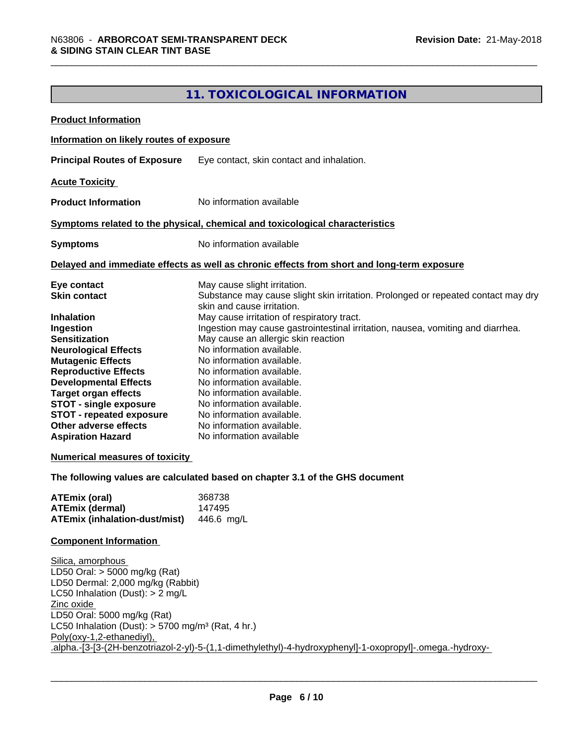# **11. TOXICOLOGICAL INFORMATION**

| <b>Product Information</b>                                                                                                                                                                                                                                                                                                                                                                                              |                                                                                                                                                                                                                                                                                                                                                                                                                                                                                                                                                                                                                                                                             |
|-------------------------------------------------------------------------------------------------------------------------------------------------------------------------------------------------------------------------------------------------------------------------------------------------------------------------------------------------------------------------------------------------------------------------|-----------------------------------------------------------------------------------------------------------------------------------------------------------------------------------------------------------------------------------------------------------------------------------------------------------------------------------------------------------------------------------------------------------------------------------------------------------------------------------------------------------------------------------------------------------------------------------------------------------------------------------------------------------------------------|
| Information on likely routes of exposure                                                                                                                                                                                                                                                                                                                                                                                |                                                                                                                                                                                                                                                                                                                                                                                                                                                                                                                                                                                                                                                                             |
| <b>Principal Routes of Exposure</b>                                                                                                                                                                                                                                                                                                                                                                                     | Eye contact, skin contact and inhalation.                                                                                                                                                                                                                                                                                                                                                                                                                                                                                                                                                                                                                                   |
| <b>Acute Toxicity</b>                                                                                                                                                                                                                                                                                                                                                                                                   |                                                                                                                                                                                                                                                                                                                                                                                                                                                                                                                                                                                                                                                                             |
| <b>Product Information</b>                                                                                                                                                                                                                                                                                                                                                                                              | No information available                                                                                                                                                                                                                                                                                                                                                                                                                                                                                                                                                                                                                                                    |
|                                                                                                                                                                                                                                                                                                                                                                                                                         | Symptoms related to the physical, chemical and toxicological characteristics                                                                                                                                                                                                                                                                                                                                                                                                                                                                                                                                                                                                |
| <b>Symptoms</b>                                                                                                                                                                                                                                                                                                                                                                                                         | No information available                                                                                                                                                                                                                                                                                                                                                                                                                                                                                                                                                                                                                                                    |
|                                                                                                                                                                                                                                                                                                                                                                                                                         | Delayed and immediate effects as well as chronic effects from short and long-term exposure                                                                                                                                                                                                                                                                                                                                                                                                                                                                                                                                                                                  |
| Eye contact<br><b>Skin contact</b><br><b>Inhalation</b><br>Ingestion<br><b>Sensitization</b><br><b>Neurological Effects</b><br><b>Mutagenic Effects</b><br><b>Reproductive Effects</b><br><b>Developmental Effects</b><br><b>Target organ effects</b><br><b>STOT - single exposure</b><br><b>STOT - repeated exposure</b><br>Other adverse effects<br><b>Aspiration Hazard</b><br><b>Numerical measures of toxicity</b> | May cause slight irritation.<br>Substance may cause slight skin irritation. Prolonged or repeated contact may dry<br>skin and cause irritation.<br>May cause irritation of respiratory tract.<br>Ingestion may cause gastrointestinal irritation, nausea, vomiting and diarrhea.<br>May cause an allergic skin reaction<br>No information available.<br>No information available.<br>No information available.<br>No information available.<br>No information available.<br>No information available.<br>No information available.<br>No information available.<br>No information available<br>The following values are calculated based on chapter 3.1 of the GHS document |
| <b>ATEmix (oral)</b><br><b>ATEmix (dermal)</b><br><b>ATEmix (inhalation-dust/mist)</b>                                                                                                                                                                                                                                                                                                                                  | 368738<br>147495<br>446.6 mg/L                                                                                                                                                                                                                                                                                                                                                                                                                                                                                                                                                                                                                                              |
| <b>Component Information</b>                                                                                                                                                                                                                                                                                                                                                                                            |                                                                                                                                                                                                                                                                                                                                                                                                                                                                                                                                                                                                                                                                             |
| Silica, amorphous<br>LD50 Oral: > 5000 mg/kg (Rat)<br>LD50 Dermal: 2,000 mg/kg (Rabbit)<br>LC50 Inhalation (Dust): $> 2$ mg/L<br>Zinc oxide<br>LD50 Oral: 5000 mg/kg (Rat)<br>LC50 Inhalation (Dust): $>$ 5700 mg/m <sup>3</sup> (Rat, 4 hr.)<br>Poly(oxy-1,2-ethanediyl),                                                                                                                                              | .alpha.-[3-[3-(2H-benzotriazol-2-yl)-5-(1,1-dimethylethyl)-4-hydroxyphenyl]-1-oxopropyl]-.omega.-hydroxy-                                                                                                                                                                                                                                                                                                                                                                                                                                                                                                                                                                   |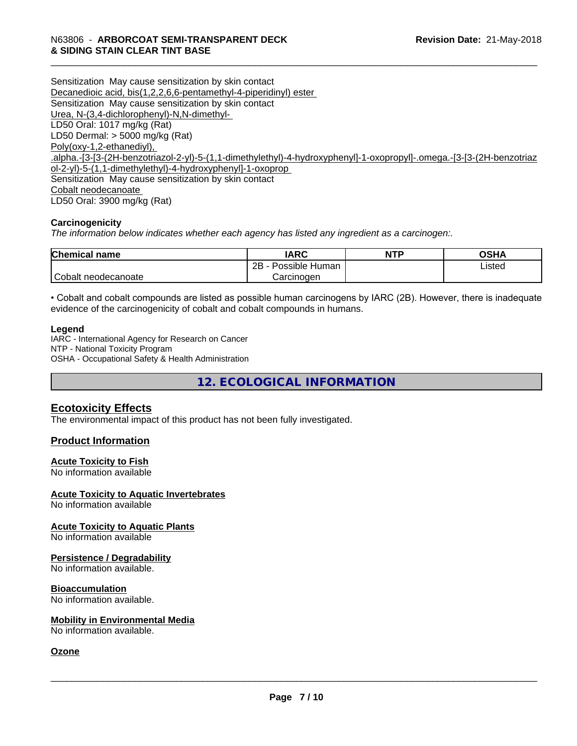Sensitization May cause sensitization by skin contact Decanedioic acid, bis(1,2,2,6,6-pentamethyl-4-piperidinyl) ester Sensitization May cause sensitization by skin contact Urea, N-(3,4-dichlorophenyl)-N,N-dimethyl- LD50 Oral: 1017 mg/kg (Rat) LD50 Dermal: > 5000 mg/kg (Rat) Poly(oxy-1,2-ethanediyl), .alpha.-[3-[3-(2H-benzotriazol-2-yl)-5-(1,1-dimethylethyl)-4-hydroxyphenyl]-1-oxopropyl]-.omega.-[3-[3-(2H-benzotriaz ol-2-yl)-5-(1,1-dimethylethyl)-4-hydroxyphenyl]-1-oxoprop Sensitization May cause sensitization by skin contact Cobalt neodecanoate LD50 Oral: 3900 mg/kg (Rat)

#### **Carcinogenicity**

*The information below indicateswhether each agency has listed any ingredient as a carcinogen:.*

| <b>Chemical</b><br>name | <b>IARC</b>               | <b>NTP</b> | <b>OSHA</b> |
|-------------------------|---------------------------|------------|-------------|
|                         | .<br>2B<br>Possible Human |            | Listed      |
| Cobalt neodecanoate     | Carcinoɑen                |            |             |

• Cobalt and cobalt compounds are listed as possible human carcinogens by IARC (2B). However, there is inadequate evidence of the carcinogenicity of cobalt and cobalt compounds in humans.

#### **Legend**

IARC - International Agency for Research on Cancer NTP - National Toxicity Program OSHA - Occupational Safety & Health Administration

**12. ECOLOGICAL INFORMATION**

#### **Ecotoxicity Effects**

The environmental impact of this product has not been fully investigated.

#### **Product Information**

#### **Acute Toxicity to Fish**

No information available

#### **Acute Toxicity to Aquatic Invertebrates**

No information available

#### **Acute Toxicity to Aquatic Plants** No information available

# **Persistence / Degradability**

No information available.

#### **Bioaccumulation**

No information available.

#### **Mobility in Environmental Media**

No information available.

#### **Ozone**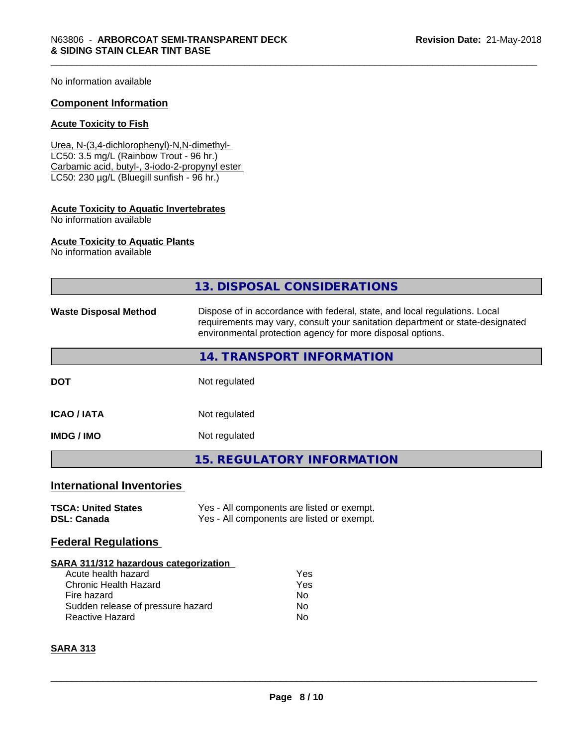No information available

#### **Component Information**

#### **Acute Toxicity to Fish**

Urea, N-(3,4-dichlorophenyl)-N,N-dimethyl- LC50: 3.5 mg/L (Rainbow Trout - 96 hr.) Carbamic acid, butyl-, 3-iodo-2-propynyl ester LC50: 230 µg/L (Bluegill sunfish - 96 hr.)

# **Acute Toxicity to Aquatic Invertebrates**

No information available

#### **Acute Toxicity to Aquatic Plants**

No information available

|                                                                                                                                                                                   | 13. DISPOSAL CONSIDERATIONS                                                                                                                                                                                               |  |  |
|-----------------------------------------------------------------------------------------------------------------------------------------------------------------------------------|---------------------------------------------------------------------------------------------------------------------------------------------------------------------------------------------------------------------------|--|--|
| <b>Waste Disposal Method</b>                                                                                                                                                      | Dispose of in accordance with federal, state, and local regulations. Local<br>requirements may vary, consult your sanitation department or state-designated<br>environmental protection agency for more disposal options. |  |  |
|                                                                                                                                                                                   | 14. TRANSPORT INFORMATION                                                                                                                                                                                                 |  |  |
| <b>DOT</b>                                                                                                                                                                        | Not regulated                                                                                                                                                                                                             |  |  |
| <b>ICAO/IATA</b>                                                                                                                                                                  | Not regulated                                                                                                                                                                                                             |  |  |
| <b>IMDG/IMO</b>                                                                                                                                                                   | Not regulated                                                                                                                                                                                                             |  |  |
|                                                                                                                                                                                   | <b>15. REGULATORY INFORMATION</b>                                                                                                                                                                                         |  |  |
| <b>International Inventories</b>                                                                                                                                                  |                                                                                                                                                                                                                           |  |  |
| <b>TSCA: United States</b><br><b>DSL: Canada</b>                                                                                                                                  | Yes - All components are listed or exempt.<br>Yes - All components are listed or exempt.                                                                                                                                  |  |  |
| <b>Federal Regulations</b>                                                                                                                                                        |                                                                                                                                                                                                                           |  |  |
| <b>SARA 311/312 hazardous categorization</b><br>Acute health hazard<br><b>Chronic Health Hazard</b><br>Fire hazard<br>Sudden release of pressure hazard<br><b>Reactive Hazard</b> | Yes<br>Yes<br><b>No</b><br>No<br>No                                                                                                                                                                                       |  |  |

#### **SARA 313**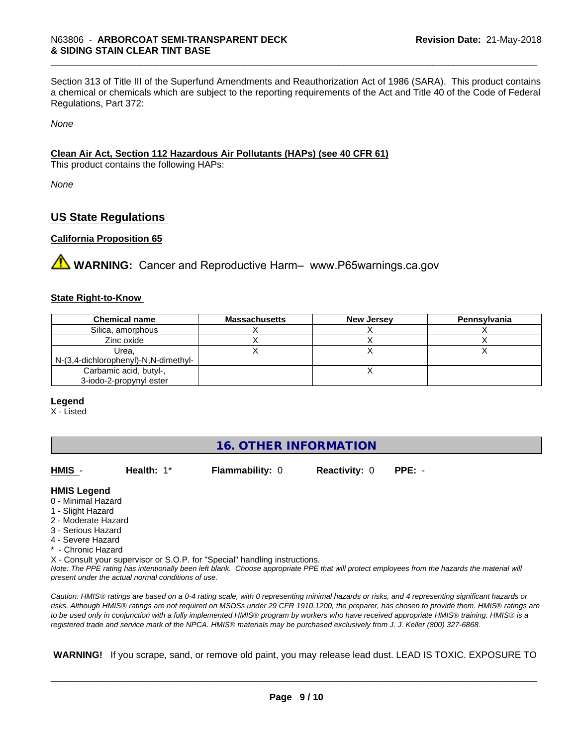Section 313 of Title III of the Superfund Amendments and Reauthorization Act of 1986 (SARA). This product contains a chemical or chemicals which are subject to the reporting requirements of the Act and Title 40 of the Code of Federal Regulations, Part 372:

*None*

#### **Clean Air Act,Section 112 Hazardous Air Pollutants (HAPs) (see 40 CFR 61)**

This product contains the following HAPs:

*None*

## **US State Regulations**

#### **California Proposition 65**

**AVIMARNING:** Cancer and Reproductive Harm– www.P65warnings.ca.gov

#### **State Right-to-Know**

| <b>Chemical name</b>                 | <b>Massachusetts</b> | <b>New Jersey</b> | Pennsylvania |
|--------------------------------------|----------------------|-------------------|--------------|
| Silica, amorphous                    |                      |                   |              |
| Zinc oxide                           |                      |                   |              |
| Urea.                                |                      |                   |              |
| N-(3,4-dichlorophenyl)-N,N-dimethyl- |                      |                   |              |
| Carbamic acid, butyl-,               |                      |                   |              |
| 3-iodo-2-propynyl ester              |                      |                   |              |

#### **Legend**

X - Listed

# **16. OTHER INFORMATION**

| HMIS -                                                                                                                                                | Health: $1^*$                                      | <b>Flammability: 0</b>                                                     | <b>Reactivity: 0</b> | $PPE: -$                                                                                                                                      |
|-------------------------------------------------------------------------------------------------------------------------------------------------------|----------------------------------------------------|----------------------------------------------------------------------------|----------------------|-----------------------------------------------------------------------------------------------------------------------------------------------|
| <b>HMIS Legend</b><br>0 - Minimal Hazard<br>1 - Slight Hazard<br>2 - Moderate Hazard<br>3 - Serious Hazard<br>4 - Severe Hazard<br>* - Chronic Hazard | present under the actual normal conditions of use. | X - Consult your supervisor or S.O.P. for "Special" handling instructions. |                      | Note: The PPE rating has intentionally been left blank. Choose appropriate PPE that will protect employees from the hazards the material will |
|                                                                                                                                                       |                                                    |                                                                            |                      |                                                                                                                                               |

*Caution: HMISÒ ratings are based on a 0-4 rating scale, with 0 representing minimal hazards or risks, and 4 representing significant hazards or risks. Although HMISÒ ratings are not required on MSDSs under 29 CFR 1910.1200, the preparer, has chosen to provide them. HMISÒ ratings are to be used only in conjunction with a fully implemented HMISÒ program by workers who have received appropriate HMISÒ training. HMISÒ is a registered trade and service mark of the NPCA. HMISÒ materials may be purchased exclusively from J. J. Keller (800) 327-6868.*

 **WARNING!** If you scrape, sand, or remove old paint, you may release lead dust. LEAD IS TOXIC. EXPOSURE TO